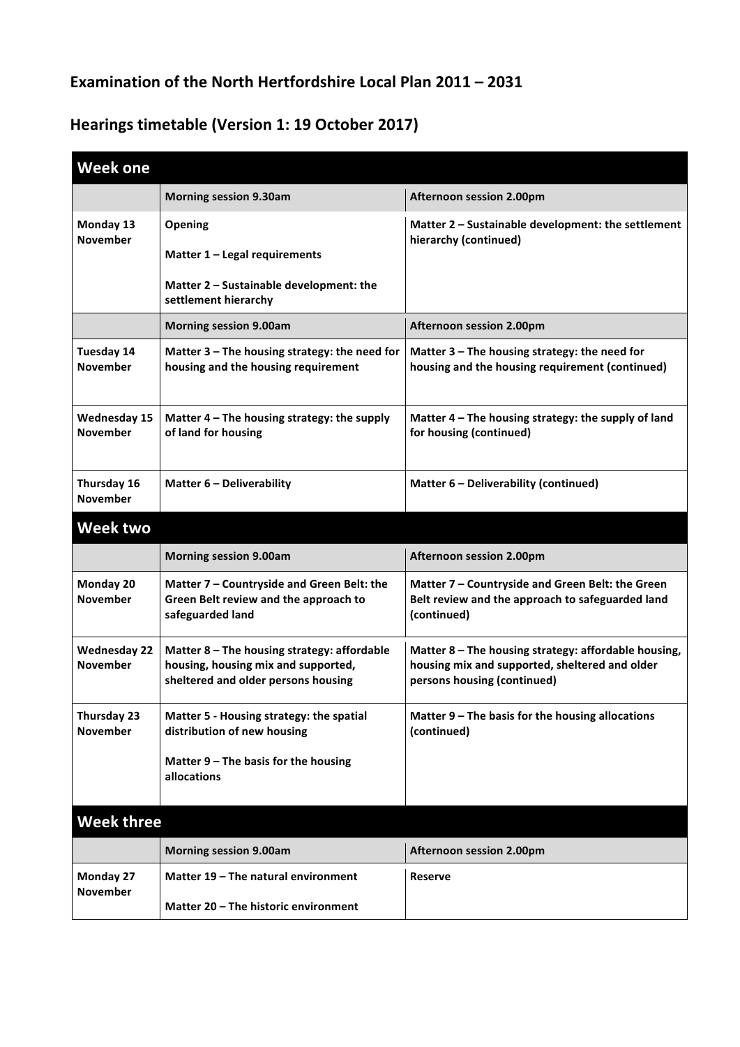## **Examination of the North Hertfordshire Local Plan 2011 – 2031**

## **Hearings timetable (Version 1: 19 October 2017)**

| <b>Week one</b>                        |                                                                                                                           |                                                                                                                                       |  |
|----------------------------------------|---------------------------------------------------------------------------------------------------------------------------|---------------------------------------------------------------------------------------------------------------------------------------|--|
|                                        | <b>Morning session 9.30am</b>                                                                                             | <b>Afternoon session 2.00pm</b>                                                                                                       |  |
| Monday 13<br><b>November</b>           | Opening<br>Matter 1 - Legal requirements                                                                                  | Matter 2 - Sustainable development: the settlement<br>hierarchy (continued)                                                           |  |
|                                        | Matter 2 - Sustainable development: the<br>settlement hierarchy                                                           |                                                                                                                                       |  |
|                                        | <b>Morning session 9.00am</b>                                                                                             | <b>Afternoon session 2.00pm</b>                                                                                                       |  |
| <b>Tuesday 14</b><br><b>November</b>   | Matter 3 - The housing strategy: the need for<br>housing and the housing requirement                                      | Matter 3 - The housing strategy: the need for<br>housing and the housing requirement (continued)                                      |  |
| <b>Wednesday 15</b><br><b>November</b> | Matter 4 - The housing strategy: the supply<br>of land for housing                                                        | Matter 4 - The housing strategy: the supply of land<br>for housing (continued)                                                        |  |
| Thursday 16<br><b>November</b>         | Matter 6 - Deliverability                                                                                                 | Matter 6 - Deliverability (continued)                                                                                                 |  |
| <b>Week two</b>                        |                                                                                                                           |                                                                                                                                       |  |
|                                        | <b>Morning session 9.00am</b>                                                                                             | Afternoon session 2.00pm                                                                                                              |  |
| Monday 20<br><b>November</b>           | Matter 7 - Countryside and Green Belt: the<br>Green Belt review and the approach to<br>safeguarded land                   | Matter 7 - Countryside and Green Belt: the Green<br>Belt review and the approach to safeguarded land<br>(continued)                   |  |
| <b>Wednesday 22</b><br><b>November</b> | Matter 8 - The housing strategy: affordable<br>housing, housing mix and supported,<br>sheltered and older persons housing | Matter 8 - The housing strategy: affordable housing,<br>housing mix and supported, sheltered and older<br>persons housing (continued) |  |
| Thursday 23<br><b>November</b>         | Matter 5 - Housing strategy: the spatial<br>distribution of new housing                                                   | Matter 9 - The basis for the housing allocations<br>(continued)                                                                       |  |
|                                        | Matter 9 - The basis for the housing<br>allocations                                                                       |                                                                                                                                       |  |
| <b>Week three</b>                      |                                                                                                                           |                                                                                                                                       |  |
|                                        | <b>Morning session 9.00am</b>                                                                                             | Afternoon session 2.00pm                                                                                                              |  |
| Monday 27                              | Matter 19 - The natural environment                                                                                       | <b>Reserve</b>                                                                                                                        |  |
| <b>November</b>                        | Matter 20 - The historic environment                                                                                      |                                                                                                                                       |  |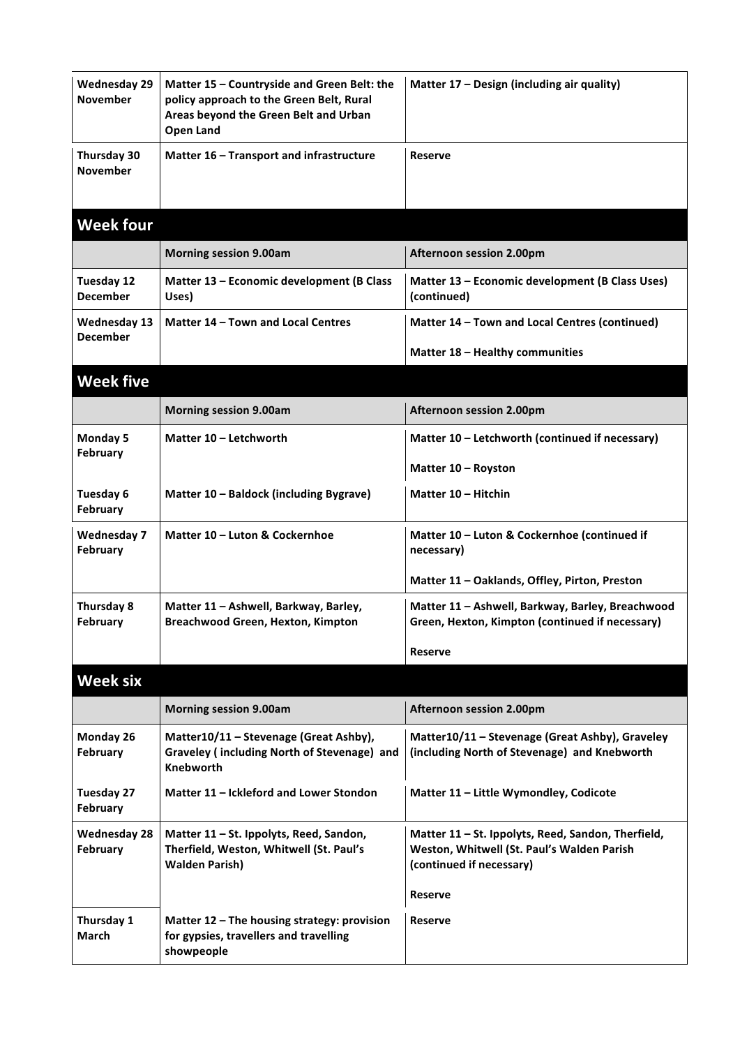| <b>Wednesday 29</b><br><b>November</b> | Matter 15 - Countryside and Green Belt: the<br>policy approach to the Green Belt, Rural<br>Areas beyond the Green Belt and Urban<br><b>Open Land</b> | Matter 17 - Design (including air quality)                                                                                   |
|----------------------------------------|------------------------------------------------------------------------------------------------------------------------------------------------------|------------------------------------------------------------------------------------------------------------------------------|
| Thursday 30<br><b>November</b>         | Matter 16 - Transport and infrastructure                                                                                                             | <b>Reserve</b>                                                                                                               |
| <b>Week four</b>                       |                                                                                                                                                      |                                                                                                                              |
|                                        | <b>Morning session 9.00am</b>                                                                                                                        | <b>Afternoon session 2.00pm</b>                                                                                              |
| <b>Tuesday 12</b><br><b>December</b>   | Matter 13 - Economic development (B Class<br>Uses)                                                                                                   | Matter 13 - Economic development (B Class Uses)<br>(continued)                                                               |
| <b>Wednesday 13</b><br><b>December</b> | Matter 14 - Town and Local Centres                                                                                                                   | Matter 14 - Town and Local Centres (continued)                                                                               |
|                                        |                                                                                                                                                      | Matter 18 - Healthy communities                                                                                              |
| <b>Week five</b>                       |                                                                                                                                                      |                                                                                                                              |
|                                        | <b>Morning session 9.00am</b>                                                                                                                        | <b>Afternoon session 2.00pm</b>                                                                                              |
| <b>Monday 5</b>                        | Matter 10 - Letchworth                                                                                                                               | Matter 10 - Letchworth (continued if necessary)                                                                              |
| February                               |                                                                                                                                                      | Matter 10 - Royston                                                                                                          |
| Tuesday 6<br><b>February</b>           | Matter 10 - Baldock (including Bygrave)                                                                                                              | Matter 10 - Hitchin                                                                                                          |
| <b>Wednesday 7</b><br>February         | Matter 10 - Luton & Cockernhoe                                                                                                                       | Matter 10 - Luton & Cockernhoe (continued if<br>necessary)                                                                   |
|                                        |                                                                                                                                                      | Matter 11 - Oaklands, Offley, Pirton, Preston                                                                                |
| Thursday 8<br><b>February</b>          | Matter 11 - Ashwell, Barkway, Barley,<br><b>Breachwood Green, Hexton, Kimpton</b>                                                                    | Matter 11 - Ashwell, Barkway, Barley, Breachwood<br>Green, Hexton, Kimpton (continued if necessary)                          |
|                                        |                                                                                                                                                      | <b>Reserve</b>                                                                                                               |
| <b>Week six</b>                        |                                                                                                                                                      |                                                                                                                              |
|                                        | <b>Morning session 9.00am</b>                                                                                                                        | <b>Afternoon session 2.00pm</b>                                                                                              |
| Monday 26<br>February                  | Matter10/11 - Stevenage (Great Ashby),<br>Graveley (including North of Stevenage) and<br><b>Knebworth</b>                                            | Matter10/11 - Stevenage (Great Ashby), Graveley<br>(including North of Stevenage) and Knebworth                              |
| <b>Tuesday 27</b><br>February          | Matter 11 – Ickleford and Lower Stondon                                                                                                              | Matter 11 - Little Wymondley, Codicote                                                                                       |
| <b>Wednesday 28</b><br>February        | Matter 11 - St. Ippolyts, Reed, Sandon,<br>Therfield, Weston, Whitwell (St. Paul's<br><b>Walden Parish)</b>                                          | Matter 11 - St. Ippolyts, Reed, Sandon, Therfield,<br>Weston, Whitwell (St. Paul's Walden Parish<br>(continued if necessary) |
|                                        |                                                                                                                                                      | Reserve                                                                                                                      |
| Thursday 1<br><b>March</b>             | Matter 12 - The housing strategy: provision<br>for gypsies, travellers and travelling<br>showpeople                                                  | Reserve                                                                                                                      |